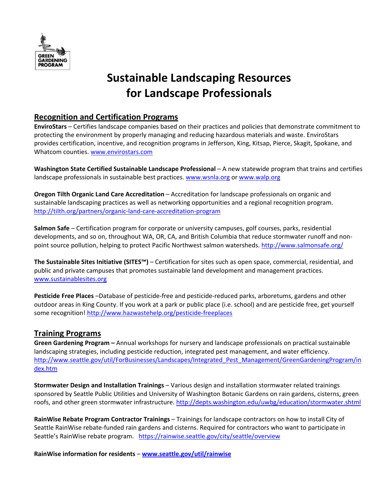

# **Sustainable Landscaping Resources for Landscape Professionals**

## **Recognition and Certification Programs**

**EnviroStars** – Certifies landscape companies based on their practices and policies that demonstrate commitment to protecting the environment by properly managing and reducing hazardous materials and waste. EnviroStars provides certification, incentive, and recognition programs in Jefferson, King, Kitsap, Pierce, Skagit, Spokane, and Whatcom counties. www.envirostars.com

**Washington State Certified Sustainable Landscape Professional** – A new statewide program that trains and certifies landscape professionals in sustainable best practices. www.wsnla.org or www.walp.org

**Oregon Tilth Organic Land Care Accreditation** – Accreditation for landscape professionals on organic and sustainable landscaping practices as well as networking opportunities and a regional recognition program. http://tilth.org/partners/organic‐land‐care‐accreditation‐program

**Salmon Safe** – Certification program for corporate or university campuses, golf courses, parks, residential developments, and so on, throughout WA, OR, CA, and British Columbia that reduce stormwater runoff and non‐ point source pollution, helping to protect Pacific Northwest salmon watersheds. http://www.salmonsafe.org/

**The Sustainable Sites Initiative (SITES™)** – Certification for sites such as open space, commercial, residential, and public and private campuses that promotes sustainable land development and management practices. www.sustainablesites.org

**Pesticide Free Places** –Database of pesticide‐free and pesticide‐reduced parks, arboretums, gardens and other outdoor areas in King County. If you work at a park or public place (i.e. school) and are pesticide free, get yourself some recognition! http://www.hazwastehelp.org/pesticide‐freeplaces

## **Training Programs**

**Green Gardening Program –** Annual workshops for nursery and landscape professionals on practical sustainable landscaping strategies, including pesticide reduction, integrated pest management, and water efficiency. http://www.seattle.gov/util/ForBusinesses/Landscapes/Integrated\_Pest\_Management/GreenGardeningProgram/in dex.htm

**Stormwater Design and Installation Trainings** – Various design and installation stormwater related trainings sponsored by Seattle Public Utilities and University of Washington Botanic Gardens on rain gardens, cisterns, green roofs, and other green stormwater infrastructure. http://depts.washington.edu/uwbg/education/stormwater.shtml

**RainWise Rebate Program Contractor Trainings** – Trainings for landscape contractors on how to install City of Seattle RainWise rebate‐funded rain gardens and cisterns. Required for contractors who want to participate in Seattle's RainWise rebate program. https://rainwise.seattle.gov/city/seattle/overview

**RainWise information for residents** – **www.seattle.gov/util/rainwise**